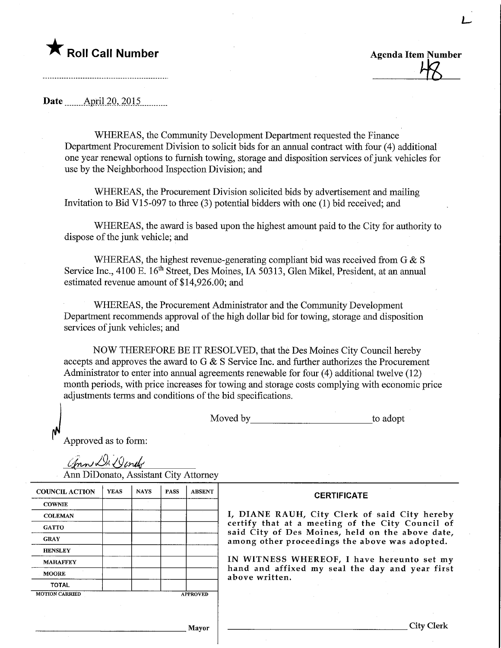## $\blacktriangledown$  Roll Call Number

Agenda Item Number  $48$ 

L-

Date ........April 2Q,.2Q15,

WHEREAS, the Community Development Department requested the Finance Department Procurement Division to solicit bids for an annual contract with four (4) additional one year renewal options to furnish towing, storage and disposition services of junk vehicles for use by the Neighborhood Inspection Division; and

WHEREAS, the Procurement Division solicited bids by advertisement and mailing Invitation to Bid V15-097 to three (3) potential bidders with one (1) bid received; and

WHEREAS, the award is based upon the highest amount paid to the City for authority to dispose of the junk vehicle; and

WHEREAS, the highest revenue-generating compliant bid was received from  $G \& S$ Service Inc., 4100 E. 16<sup>th</sup> Street, Des Moines, IA 50313, Glen Mikel, President, at an annual estimated revenue amount of \$14,926.00; and

WHEREAS, the Procurement Administrator and the Community Development Department recommends approval of the high dollar bid for towing, storage and disposition services of junk vehicles; and

NOW THEREFORE BE IT RESOLVED, that the Des Moines City Council hereby accepts and approves the award to G & S Service Inc. and further authorizes the Procurement Administrator to enter into annual agreements renewable for four (4) additional twelve (12) month periods, with price increases for towing and storage costs complying with economic price adjustments terms and conditions of the bid specifications.

Moved by to adopt

Approved as to form:

ann Di Donde

Ann DiDonato, Assistant City Attorney

| <b>COUNCIL ACTION</b> | <b>YEAS</b> | <b>NAYS</b> | <b>PASS</b> | <b>ABSENT</b>   |
|-----------------------|-------------|-------------|-------------|-----------------|
| <b>COWNIE</b>         |             |             |             |                 |
| <b>COLEMAN</b>        |             |             |             |                 |
| <b>GATTO</b>          |             |             |             |                 |
| <b>GRAY</b>           |             |             |             |                 |
| <b>HENSLEY</b>        |             |             |             |                 |
| <b>MAHAFFEY</b>       |             |             |             |                 |
| <b>MOORE</b>          |             |             |             |                 |
| TOTAL                 |             |             |             |                 |
| <b>MOTION CARRIED</b> |             |             |             | <b>APPROVED</b> |

## **CERTIFICATE**

RAUH, City Clerk of said City hereby certify that at a meeting of the City Council of said City of Des Moines, held on the above date, her proceedings the above was adopted.

ESS WHEREOF, I have hereunto set my affixed my seal the day and year first tten.

Mayor